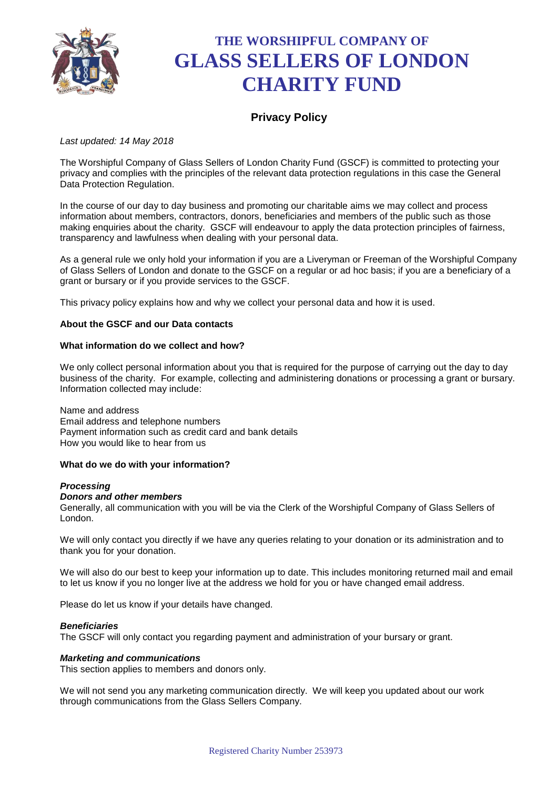

# **THE WORSHIPFUL COMPANY OF GLASS SELLERS OF LONDON CHARITY FUND**

# **Privacy Policy**

# *Last updated: 14 May 2018*

The Worshipful Company of Glass Sellers of London Charity Fund (GSCF) is committed to protecting your privacy and complies with the principles of the relevant data protection regulations in this case the General Data Protection Regulation.

In the course of our day to day business and promoting our charitable aims we may collect and process information about members, contractors, donors, beneficiaries and members of the public such as those making enquiries about the charity. GSCF will endeavour to apply the data protection principles of fairness, transparency and lawfulness when dealing with your personal data.

As a general rule we only hold your information if you are a Liveryman or Freeman of the Worshipful Company of Glass Sellers of London and donate to the GSCF on a regular or ad hoc basis; if you are a beneficiary of a grant or bursary or if you provide services to the GSCF.

This privacy policy explains how and why we collect your personal data and how it is used.

## **About the GSCF and our Data contacts**

## **What information do we collect and how?**

We only collect personal information about you that is required for the purpose of carrying out the day to day business of the charity. For example, collecting and administering donations or processing a grant or bursary. Information collected may include:

Name and address Email address and telephone numbers Payment information such as credit card and bank details How you would like to hear from us

#### **What do we do with your information?**

#### *Processing*

#### *Donors and other members*

Generally, all communication with you will be via the Clerk of the Worshipful Company of Glass Sellers of London.

We will only contact you directly if we have any queries relating to your donation or its administration and to thank you for your donation.

We will also do our best to keep your information up to date. This includes monitoring returned mail and email to let us know if you no longer live at the address we hold for you or have changed email address.

Please do let us know if your details have changed.

#### *Beneficiaries*

The GSCF will only contact you regarding payment and administration of your bursary or grant.

#### *Marketing and communications*

This section applies to members and donors only.

We will not send you any marketing communication directly. We will keep you updated about our work through communications from the Glass Sellers Company.